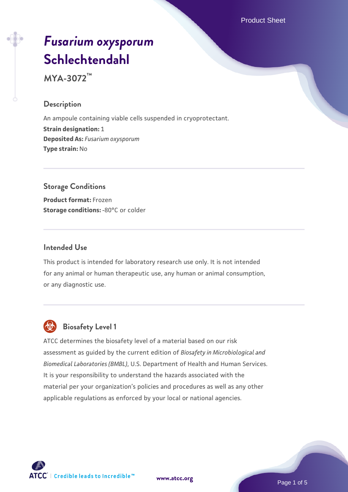Product Sheet

# *[Fusarium oxysporum](https://www.atcc.org/products/mya-3072)* **[Schlechtendahl](https://www.atcc.org/products/mya-3072)**

**MYA-3072™**

#### **Description**

An ampoule containing viable cells suspended in cryoprotectant. **Strain designation:** 1 **Deposited As:** *Fusarium oxysporum* **Type strain:** No

## **Storage Conditions**

**Product format:** Frozen **Storage conditions: -80°C or colder** 

#### **Intended Use**

This product is intended for laboratory research use only. It is not intended for any animal or human therapeutic use, any human or animal consumption, or any diagnostic use.



## **Biosafety Level 1**

ATCC determines the biosafety level of a material based on our risk assessment as guided by the current edition of *Biosafety in Microbiological and Biomedical Laboratories (BMBL)*, U.S. Department of Health and Human Services. It is your responsibility to understand the hazards associated with the material per your organization's policies and procedures as well as any other applicable regulations as enforced by your local or national agencies.



**[www.atcc.org](http://www.atcc.org)**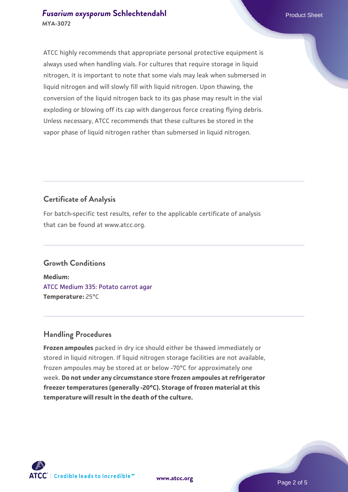#### **[Fusarium oxysporum](https://www.atcc.org/products/mya-3072) [Schlechtendahl](https://www.atcc.org/products/mya-3072) Product Sheet Product Sheet MYA-3072**

ATCC highly recommends that appropriate personal protective equipment is always used when handling vials. For cultures that require storage in liquid nitrogen, it is important to note that some vials may leak when submersed in liquid nitrogen and will slowly fill with liquid nitrogen. Upon thawing, the conversion of the liquid nitrogen back to its gas phase may result in the vial exploding or blowing off its cap with dangerous force creating flying debris. Unless necessary, ATCC recommends that these cultures be stored in the vapor phase of liquid nitrogen rather than submersed in liquid nitrogen.

## **Certificate of Analysis**

For batch-specific test results, refer to the applicable certificate of analysis that can be found at www.atcc.org.

## **Growth Conditions**

**Medium:**  [ATCC Medium 335: Potato carrot agar](https://www.atcc.org/-/media/product-assets/documents/microbial-media-formulations/3/3/5/atcc-medium-335.pdf?rev=a7055ab8b3c54646a9d0bdf7b34c1606) **Temperature:** 25°C

## **Handling Procedures**

**Frozen ampoules** packed in dry ice should either be thawed immediately or stored in liquid nitrogen. If liquid nitrogen storage facilities are not available, frozen ampoules may be stored at or below -70°C for approximately one week. **Do not under any circumstance store frozen ampoules at refrigerator freezer temperatures (generally -20°C). Storage of frozen material at this temperature will result in the death of the culture.**

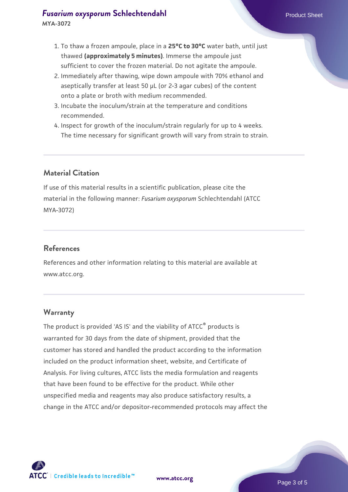- 1. To thaw a frozen ampoule, place in a **25°C to 30°C** water bath, until just thawed **(approximately 5 minutes)**. Immerse the ampoule just sufficient to cover the frozen material. Do not agitate the ampoule.
- 2. Immediately after thawing, wipe down ampoule with 70% ethanol and aseptically transfer at least 50 µL (or 2-3 agar cubes) of the content onto a plate or broth with medium recommended.
- 3. Incubate the inoculum/strain at the temperature and conditions recommended.
- 4. Inspect for growth of the inoculum/strain regularly for up to 4 weeks. The time necessary for significant growth will vary from strain to strain.

#### **Material Citation**

If use of this material results in a scientific publication, please cite the material in the following manner: *Fusarium oxysporum* Schlechtendahl (ATCC MYA-3072)

#### **References**

References and other information relating to this material are available at www.atcc.org.

#### **Warranty**

The product is provided 'AS IS' and the viability of ATCC® products is warranted for 30 days from the date of shipment, provided that the customer has stored and handled the product according to the information included on the product information sheet, website, and Certificate of Analysis. For living cultures, ATCC lists the media formulation and reagents that have been found to be effective for the product. While other unspecified media and reagents may also produce satisfactory results, a change in the ATCC and/or depositor-recommended protocols may affect the

**[www.atcc.org](http://www.atcc.org)**

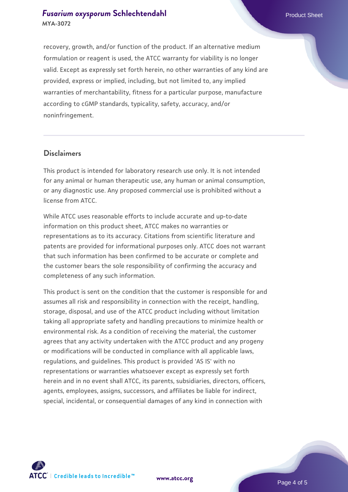#### **[Fusarium oxysporum](https://www.atcc.org/products/mya-3072) [Schlechtendahl](https://www.atcc.org/products/mya-3072) Product Sheet Product Sheet MYA-3072**

recovery, growth, and/or function of the product. If an alternative medium formulation or reagent is used, the ATCC warranty for viability is no longer valid. Except as expressly set forth herein, no other warranties of any kind are provided, express or implied, including, but not limited to, any implied warranties of merchantability, fitness for a particular purpose, manufacture according to cGMP standards, typicality, safety, accuracy, and/or noninfringement.

#### **Disclaimers**

This product is intended for laboratory research use only. It is not intended for any animal or human therapeutic use, any human or animal consumption, or any diagnostic use. Any proposed commercial use is prohibited without a license from ATCC.

While ATCC uses reasonable efforts to include accurate and up-to-date information on this product sheet, ATCC makes no warranties or representations as to its accuracy. Citations from scientific literature and patents are provided for informational purposes only. ATCC does not warrant that such information has been confirmed to be accurate or complete and the customer bears the sole responsibility of confirming the accuracy and completeness of any such information.

This product is sent on the condition that the customer is responsible for and assumes all risk and responsibility in connection with the receipt, handling, storage, disposal, and use of the ATCC product including without limitation taking all appropriate safety and handling precautions to minimize health or environmental risk. As a condition of receiving the material, the customer agrees that any activity undertaken with the ATCC product and any progeny or modifications will be conducted in compliance with all applicable laws, regulations, and guidelines. This product is provided 'AS IS' with no representations or warranties whatsoever except as expressly set forth herein and in no event shall ATCC, its parents, subsidiaries, directors, officers, agents, employees, assigns, successors, and affiliates be liable for indirect, special, incidental, or consequential damages of any kind in connection with





Page 4 of 5